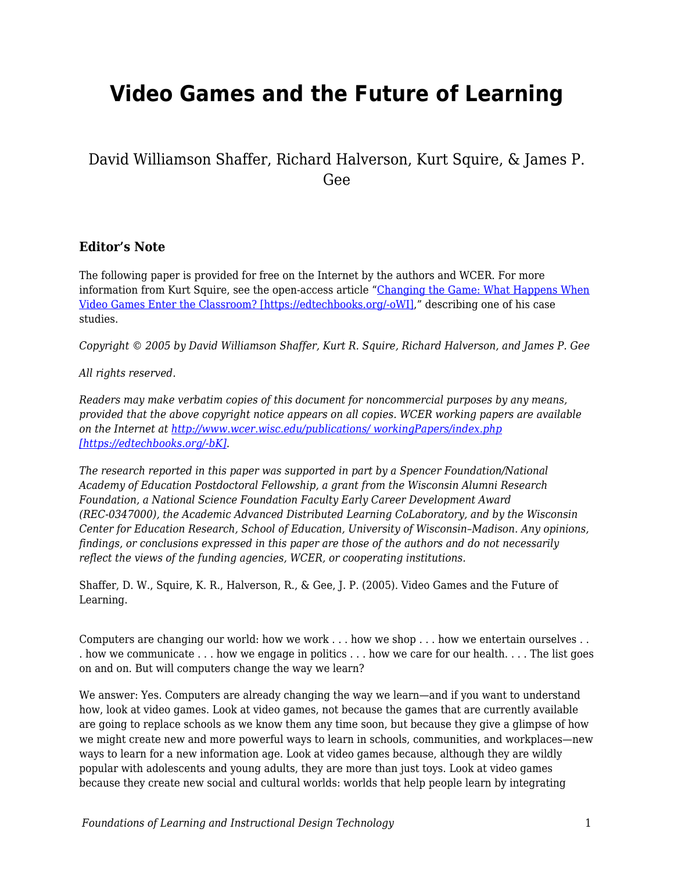# **Video Games and the Future of Learning**

### David Williamson Shaffer, Richard Halverson, Kurt Squire, & James P. Gee

#### **Editor's Note**

The following paper is provided for free on the Internet by the authors and WCER. For more information from Kurt Squire, see the open-access article "[Changing the Game: What Happens When](http://nsuworks.nova.edu/cgi/viewcontent.cgi?article=1168&context=innovate) [Video Games Enter the Classroom? \[https://edtechbooks.org/-oWI\],](http://nsuworks.nova.edu/cgi/viewcontent.cgi?article=1168&context=innovate)" describing one of his case studies.

*Copyright © 2005 by David Williamson Shaffer, Kurt R. Squire, Richard Halverson, and James P. Gee*

*All rights reserved.*

*Readers may make verbatim copies of this document for noncommercial purposes by any means, provided that the above copyright notice appears on all copies. WCER working papers are available on the Internet at [http://www.wcer.wisc.edu/publications/ workingPapers/index.php](http://www.wcer.wisc.edu/publications/%20workingPapers/index.php) [\[https://edtechbooks.org/-bK\].](http://www.wcer.wisc.edu/publications/%20workingPapers/index.php)*

*The research reported in this paper was supported in part by a Spencer Foundation/National Academy of Education Postdoctoral Fellowship, a grant from the Wisconsin Alumni Research Foundation, a National Science Foundation Faculty Early Career Development Award (REC-0347000), the Academic Advanced Distributed Learning CoLaboratory, and by the Wisconsin Center for Education Research, School of Education, University of Wisconsin–Madison. Any opinions, findings, or conclusions expressed in this paper are those of the authors and do not necessarily reflect the views of the funding agencies, WCER, or cooperating institutions.*

Shaffer, D. W., Squire, K. R., Halverson, R., & Gee, J. P. (2005). Video Games and the Future of Learning.

Computers are changing our world: how we work . . . how we shop . . . how we entertain ourselves . . . how we communicate . . . how we engage in politics . . . how we care for our health. . . . The list goes on and on. But will computers change the way we learn?

We answer: Yes. Computers are already changing the way we learn—and if you want to understand how, look at video games. Look at video games, not because the games that are currently available are going to replace schools as we know them any time soon, but because they give a glimpse of how we might create new and more powerful ways to learn in schools, communities, and workplaces—new ways to learn for a new information age. Look at video games because, although they are wildly popular with adolescents and young adults, they are more than just toys. Look at video games because they create new social and cultural worlds: worlds that help people learn by integrating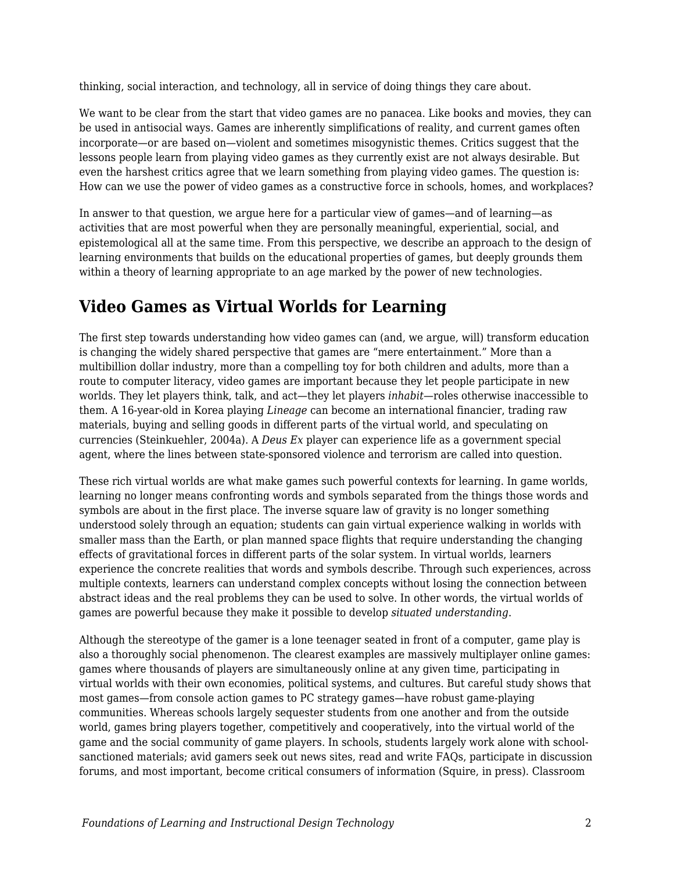thinking, social interaction, and technology, all in service of doing things they care about.

We want to be clear from the start that video games are no panacea. Like books and movies, they can be used in antisocial ways. Games are inherently simplifications of reality, and current games often incorporate—or are based on—violent and sometimes misogynistic themes. Critics suggest that the lessons people learn from playing video games as they currently exist are not always desirable. But even the harshest critics agree that we learn something from playing video games. The question is: How can we use the power of video games as a constructive force in schools, homes, and workplaces?

In answer to that question, we argue here for a particular view of games—and of learning—as activities that are most powerful when they are personally meaningful, experiential, social, and epistemological all at the same time. From this perspective, we describe an approach to the design of learning environments that builds on the educational properties of games, but deeply grounds them within a theory of learning appropriate to an age marked by the power of new technologies.

### **Video Games as Virtual Worlds for Learning**

The first step towards understanding how video games can (and, we argue, will) transform education is changing the widely shared perspective that games are "mere entertainment." More than a multibillion dollar industry, more than a compelling toy for both children and adults, more than a route to computer literacy, video games are important because they let people participate in new worlds. They let players think, talk, and act—they let players *inhabit*—roles otherwise inaccessible to them. A 16-year-old in Korea playing *Lineage* can become an international financier, trading raw materials, buying and selling goods in different parts of the virtual world, and speculating on currencies (Steinkuehler, 2004a). A *Deus Ex* player can experience life as a government special agent, where the lines between state-sponsored violence and terrorism are called into question.

These rich virtual worlds are what make games such powerful contexts for learning. In game worlds, learning no longer means confronting words and symbols separated from the things those words and symbols are about in the first place. The inverse square law of gravity is no longer something understood solely through an equation; students can gain virtual experience walking in worlds with smaller mass than the Earth, or plan manned space flights that require understanding the changing effects of gravitational forces in different parts of the solar system. In virtual worlds, learners experience the concrete realities that words and symbols describe. Through such experiences, across multiple contexts, learners can understand complex concepts without losing the connection between abstract ideas and the real problems they can be used to solve. In other words, the virtual worlds of games are powerful because they make it possible to develop *situated understanding*.

Although the stereotype of the gamer is a lone teenager seated in front of a computer, game play is also a thoroughly social phenomenon. The clearest examples are massively multiplayer online games: games where thousands of players are simultaneously online at any given time, participating in virtual worlds with their own economies, political systems, and cultures. But careful study shows that most games—from console action games to PC strategy games—have robust game-playing communities. Whereas schools largely sequester students from one another and from the outside world, games bring players together, competitively and cooperatively, into the virtual world of the game and the social community of game players. In schools, students largely work alone with schoolsanctioned materials; avid gamers seek out news sites, read and write FAQs, participate in discussion forums, and most important, become critical consumers of information (Squire, in press). Classroom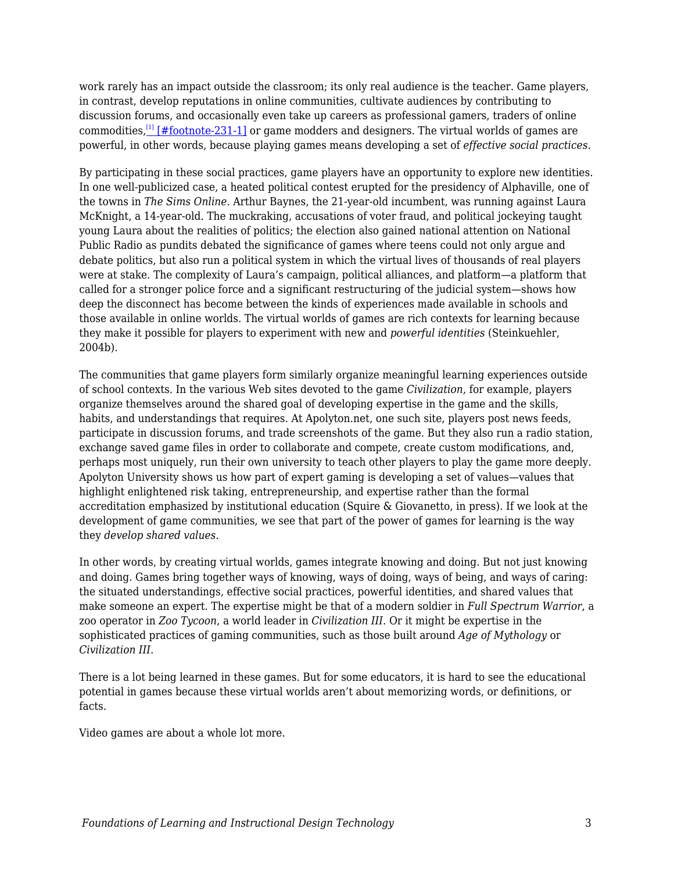work rarely has an impact outside the classroom; its only real audience is the teacher. Game players, in contrast, develop reputations in online communities, cultivate audiences by contributing to discussion forums, and occasionally even take up careers as professional gamers, traders of online commodities, $^{[1]}$  $^{[1]}$  $^{[1]}$  [\[#footnote-231-1\]](#page--1-0) or game modders and designers. The virtual worlds of games are powerful, in other words, because playing games means developing a set of *effective social practices*.

By participating in these social practices, game players have an opportunity to explore new identities. In one well-publicized case, a heated political contest erupted for the presidency of Alphaville, one of the towns in *The Sims Online.* Arthur Baynes, the 21-year-old incumbent, was running against Laura McKnight, a 14-year-old. The muckraking, accusations of voter fraud, and political jockeying taught young Laura about the realities of politics; the election also gained national attention on National Public Radio as pundits debated the significance of games where teens could not only argue and debate politics, but also run a political system in which the virtual lives of thousands of real players were at stake. The complexity of Laura's campaign, political alliances, and platform—a platform that called for a stronger police force and a significant restructuring of the judicial system—shows how deep the disconnect has become between the kinds of experiences made available in schools and those available in online worlds. The virtual worlds of games are rich contexts for learning because they make it possible for players to experiment with new and *powerful identities* (Steinkuehler, 2004b).

The communities that game players form similarly organize meaningful learning experiences outside of school contexts. In the various Web sites devoted to the game *Civilization*, for example, players organize themselves around the shared goal of developing expertise in the game and the skills, habits, and understandings that requires. At Apolyton.net, one such site, players post news feeds, participate in discussion forums, and trade screenshots of the game. But they also run a radio station, exchange saved game files in order to collaborate and compete, create custom modifications, and, perhaps most uniquely, run their own university to teach other players to play the game more deeply. Apolyton University shows us how part of expert gaming is developing a set of values—values that highlight enlightened risk taking, entrepreneurship, and expertise rather than the formal accreditation emphasized by institutional education (Squire & Giovanetto, in press). If we look at the development of game communities, we see that part of the power of games for learning is the way they *develop shared values*.

In other words, by creating virtual worlds, games integrate knowing and doing. But not just knowing and doing. Games bring together ways of knowing, ways of doing, ways of being, and ways of caring: the situated understandings, effective social practices, powerful identities, and shared values that make someone an expert. The expertise might be that of a modern soldier in *Full Spectrum Warrior*, a zoo operator in *Zoo Tycoon*, a world leader in *Civilization III*. Or it might be expertise in the sophisticated practices of gaming communities, such as those built around *Age of Mythology* or *Civilization III*.

There is a lot being learned in these games. But for some educators, it is hard to see the educational potential in games because these virtual worlds aren't about memorizing words, or definitions, or facts.

Video games are about a whole lot more.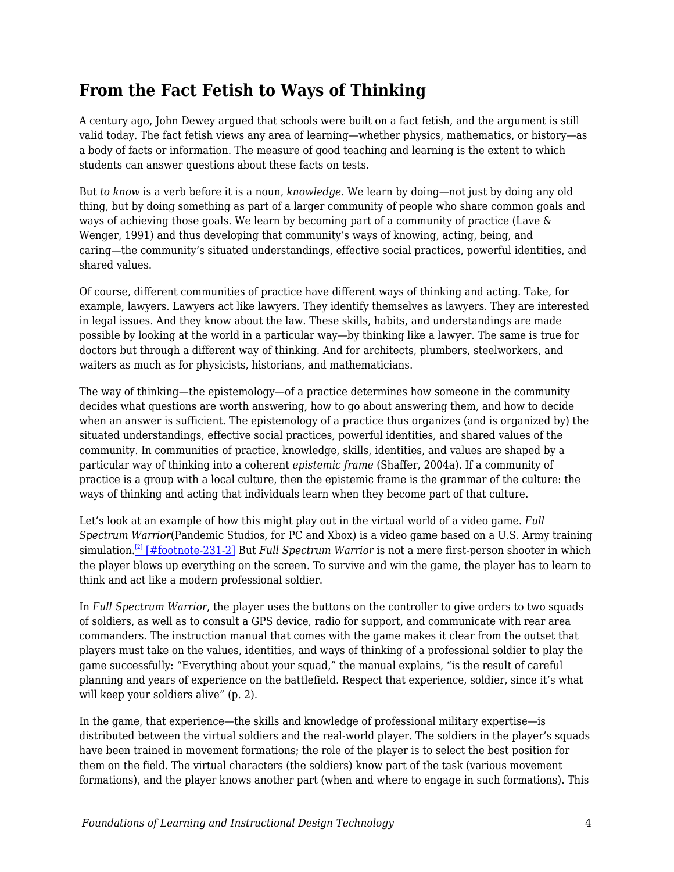### **From the Fact Fetish to Ways of Thinking**

A century ago, John Dewey argued that schools were built on a fact fetish, and the argument is still valid today. The fact fetish views any area of learning—whether physics, mathematics, or history—as a body of facts or information. The measure of good teaching and learning is the extent to which students can answer questions about these facts on tests.

But *to know* is a verb before it is a noun, *knowledge*. We learn by doing—not just by doing any old thing, but by doing something as part of a larger community of people who share common goals and ways of achieving those goals. We learn by becoming part of a community of practice (Lave & Wenger, 1991) and thus developing that community's ways of knowing, acting, being, and caring—the community's situated understandings, effective social practices, powerful identities, and shared values.

Of course, different communities of practice have different ways of thinking and acting. Take, for example, lawyers. Lawyers act like lawyers. They identify themselves as lawyers. They are interested in legal issues. And they know about the law. These skills, habits, and understandings are made possible by looking at the world in a particular way—by thinking like a lawyer. The same is true for doctors but through a different way of thinking. And for architects, plumbers, steelworkers, and waiters as much as for physicists, historians, and mathematicians.

The way of thinking—the epistemology—of a practice determines how someone in the community decides what questions are worth answering, how to go about answering them, and how to decide when an answer is sufficient. The epistemology of a practice thus organizes (and is organized by) the situated understandings, effective social practices, powerful identities, and shared values of the community. In communities of practice, knowledge, skills, identities, and values are shaped by a particular way of thinking into a coherent *epistemic frame* (Shaffer, 2004a). If a community of practice is a group with a local culture, then the epistemic frame is the grammar of the culture: the ways of thinking and acting that individuals learn when they become part of that culture.

Let's look at an example of how this might play out in the virtual world of a video game. *Full Spectrum Warrior*(Pandemic Studios, for PC and Xbox) is a video game based on a U.S. Army training simulation.[\[2\]](#page--1-0) [\[#footnote-231-2\]](#page--1-0) But *Full Spectrum Warrior* is not a mere first-person shooter in which the player blows up everything on the screen. To survive and win the game, the player has to learn to think and act like a modern professional soldier.

In *Full Spectrum Warrior*, the player uses the buttons on the controller to give orders to two squads of soldiers, as well as to consult a GPS device, radio for support, and communicate with rear area commanders. The instruction manual that comes with the game makes it clear from the outset that players must take on the values, identities, and ways of thinking of a professional soldier to play the game successfully: "Everything about your squad," the manual explains, "is the result of careful planning and years of experience on the battlefield. Respect that experience, soldier, since it's what will keep your soldiers alive" (p. 2).

In the game, that experience—the skills and knowledge of professional military expertise—is distributed between the virtual soldiers and the real-world player. The soldiers in the player's squads have been trained in movement formations; the role of the player is to select the best position for them on the field. The virtual characters (the soldiers) know part of the task (various movement formations), and the player knows another part (when and where to engage in such formations). This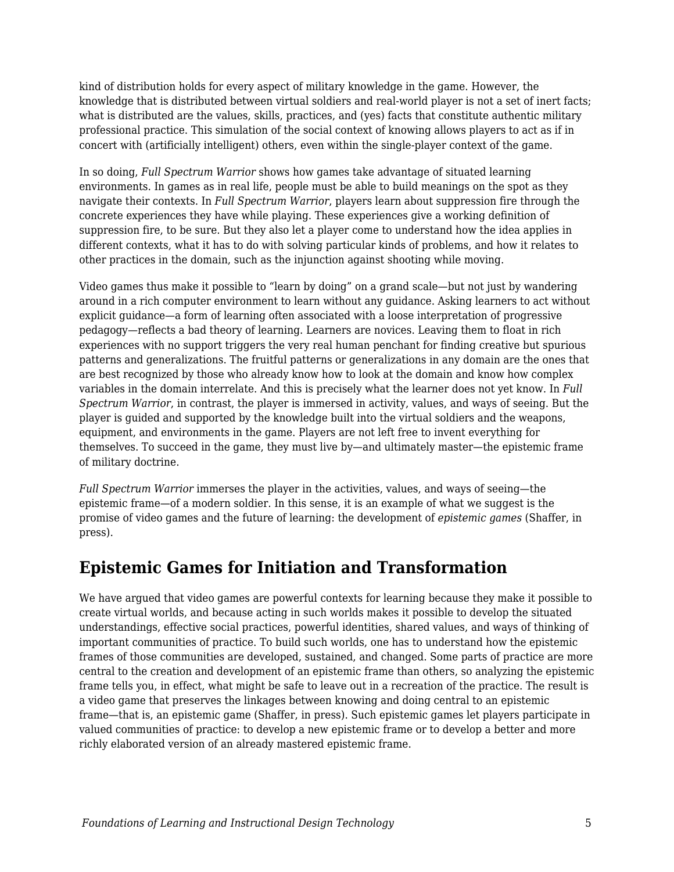kind of distribution holds for every aspect of military knowledge in the game. However, the knowledge that is distributed between virtual soldiers and real-world player is not a set of inert facts; what is distributed are the values, skills, practices, and (yes) facts that constitute authentic military professional practice. This simulation of the social context of knowing allows players to act as if in concert with (artificially intelligent) others, even within the single-player context of the game.

In so doing, *Full Spectrum Warrior* shows how games take advantage of situated learning environments. In games as in real life, people must be able to build meanings on the spot as they navigate their contexts. In *Full Spectrum Warrior*, players learn about suppression fire through the concrete experiences they have while playing. These experiences give a working definition of suppression fire, to be sure. But they also let a player come to understand how the idea applies in different contexts, what it has to do with solving particular kinds of problems, and how it relates to other practices in the domain, such as the injunction against shooting while moving.

Video games thus make it possible to "learn by doing" on a grand scale—but not just by wandering around in a rich computer environment to learn without any guidance. Asking learners to act without explicit guidance—a form of learning often associated with a loose interpretation of progressive pedagogy—reflects a bad theory of learning. Learners are novices. Leaving them to float in rich experiences with no support triggers the very real human penchant for finding creative but spurious patterns and generalizations. The fruitful patterns or generalizations in any domain are the ones that are best recognized by those who already know how to look at the domain and know how complex variables in the domain interrelate. And this is precisely what the learner does not yet know. In *Full Spectrum Warrior*, in contrast, the player is immersed in activity, values, and ways of seeing. But the player is guided and supported by the knowledge built into the virtual soldiers and the weapons, equipment, and environments in the game. Players are not left free to invent everything for themselves. To succeed in the game, they must live by—and ultimately master—the epistemic frame of military doctrine.

*Full Spectrum Warrior* immerses the player in the activities, values, and ways of seeing—the epistemic frame—of a modern soldier. In this sense, it is an example of what we suggest is the promise of video games and the future of learning: the development of *epistemic games* (Shaffer, in press).

### **Epistemic Games for Initiation and Transformation**

We have argued that video games are powerful contexts for learning because they make it possible to create virtual worlds, and because acting in such worlds makes it possible to develop the situated understandings, effective social practices, powerful identities, shared values, and ways of thinking of important communities of practice. To build such worlds, one has to understand how the epistemic frames of those communities are developed, sustained, and changed. Some parts of practice are more central to the creation and development of an epistemic frame than others, so analyzing the epistemic frame tells you, in effect, what might be safe to leave out in a recreation of the practice. The result is a video game that preserves the linkages between knowing and doing central to an epistemic frame—that is, an epistemic game (Shaffer, in press). Such epistemic games let players participate in valued communities of practice: to develop a new epistemic frame or to develop a better and more richly elaborated version of an already mastered epistemic frame.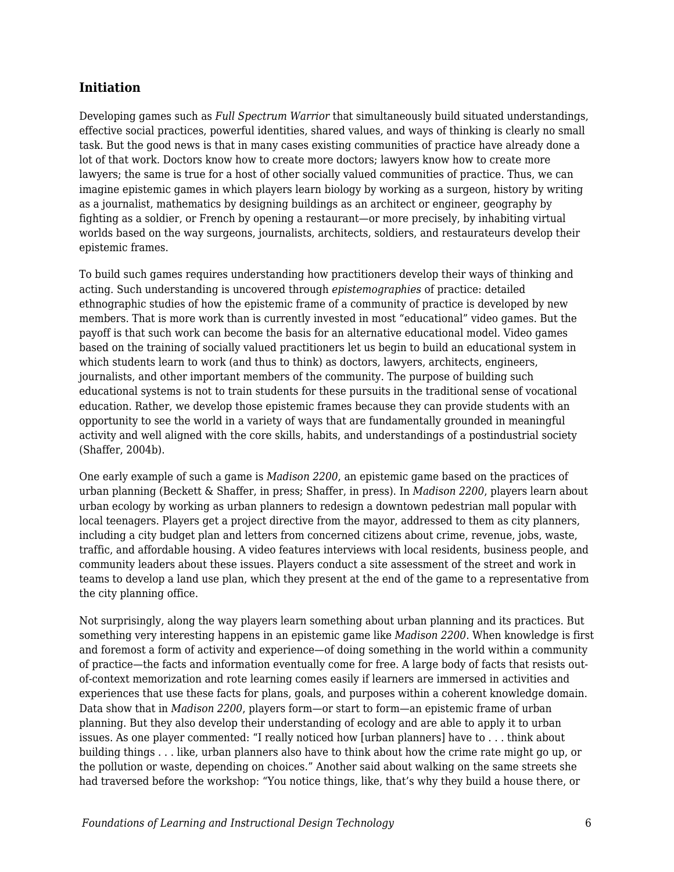#### **Initiation**

Developing games such as *Full Spectrum Warrior* that simultaneously build situated understandings, effective social practices, powerful identities, shared values, and ways of thinking is clearly no small task. But the good news is that in many cases existing communities of practice have already done a lot of that work. Doctors know how to create more doctors; lawyers know how to create more lawyers; the same is true for a host of other socially valued communities of practice. Thus, we can imagine epistemic games in which players learn biology by working as a surgeon, history by writing as a journalist, mathematics by designing buildings as an architect or engineer, geography by fighting as a soldier, or French by opening a restaurant—or more precisely, by inhabiting virtual worlds based on the way surgeons, journalists, architects, soldiers, and restaurateurs develop their epistemic frames.

To build such games requires understanding how practitioners develop their ways of thinking and acting. Such understanding is uncovered through *epistemographies* of practice: detailed ethnographic studies of how the epistemic frame of a community of practice is developed by new members. That is more work than is currently invested in most "educational" video games. But the payoff is that such work can become the basis for an alternative educational model. Video games based on the training of socially valued practitioners let us begin to build an educational system in which students learn to work (and thus to think) as doctors, lawyers, architects, engineers, journalists, and other important members of the community. The purpose of building such educational systems is not to train students for these pursuits in the traditional sense of vocational education. Rather, we develop those epistemic frames because they can provide students with an opportunity to see the world in a variety of ways that are fundamentally grounded in meaningful activity and well aligned with the core skills, habits, and understandings of a postindustrial society (Shaffer, 2004b).

One early example of such a game is *Madison 2200*, an epistemic game based on the practices of urban planning (Beckett & Shaffer, in press; Shaffer, in press). In *Madison 2200*, players learn about urban ecology by working as urban planners to redesign a downtown pedestrian mall popular with local teenagers. Players get a project directive from the mayor, addressed to them as city planners, including a city budget plan and letters from concerned citizens about crime, revenue, jobs, waste, traffic, and affordable housing. A video features interviews with local residents, business people, and community leaders about these issues. Players conduct a site assessment of the street and work in teams to develop a land use plan, which they present at the end of the game to a representative from the city planning office.

Not surprisingly, along the way players learn something about urban planning and its practices. But something very interesting happens in an epistemic game like *Madison 2200*. When knowledge is first and foremost a form of activity and experience—of doing something in the world within a community of practice—the facts and information eventually come for free. A large body of facts that resists outof-context memorization and rote learning comes easily if learners are immersed in activities and experiences that use these facts for plans, goals, and purposes within a coherent knowledge domain. Data show that in *Madison 2200*, players form—or start to form—an epistemic frame of urban planning. But they also develop their understanding of ecology and are able to apply it to urban issues. As one player commented: "I really noticed how [urban planners] have to . . . think about building things . . . like, urban planners also have to think about how the crime rate might go up, or the pollution or waste, depending on choices." Another said about walking on the same streets she had traversed before the workshop: "You notice things, like, that's why they build a house there, or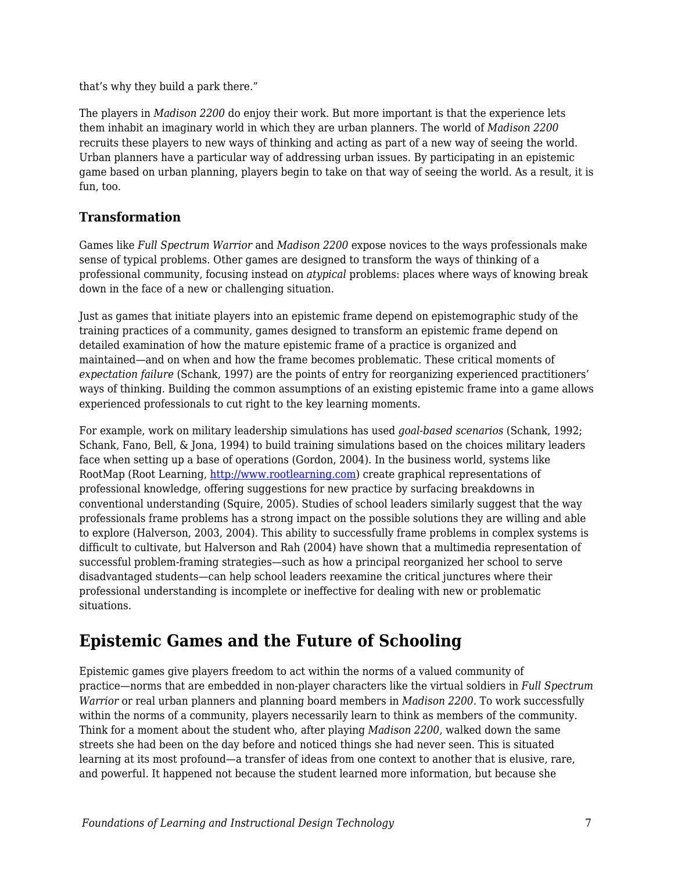that's why they build a park there."

The players in *Madison 2200* do enjoy their work. But more important is that the experience lets them inhabit an imaginary world in which they are urban planners. The world of *Madison 2200* recruits these players to new ways of thinking and acting as part of a new way of seeing the world. Urban planners have a particular way of addressing urban issues. By participating in an epistemic game based on urban planning, players begin to take on that way of seeing the world. As a result, it is fun, too.

#### **Transformation**

Games like *Full Spectrum Warrior* and *Madison 2200* expose novices to the ways professionals make sense of typical problems. Other games are designed to transform the ways of thinking of a professional community, focusing instead on *atypical* problems: places where ways of knowing break down in the face of a new or challenging situation.

Just as games that initiate players into an epistemic frame depend on epistemographic study of the training practices of a community, games designed to transform an epistemic frame depend on detailed examination of how the mature epistemic frame of a practice is organized and maintained—and on when and how the frame becomes problematic. These critical moments of *expectation failure* (Schank, 1997) are the points of entry for reorganizing experienced practitioners' ways of thinking. Building the common assumptions of an existing epistemic frame into a game allows experienced professionals to cut right to the key learning moments.

For example, work on military leadership simulations has used *goal-based scenarios* (Schank, 1992; Schank, Fano, Bell, & Jona, 1994) to build training simulations based on the choices military leaders face when setting up a base of operations (Gordon, 2004). In the business world, systems like RootMap (Root Learning, [http://www.rootlearning.com](http://www.rootlearning.com/)) create graphical representations of professional knowledge, offering suggestions for new practice by surfacing breakdowns in conventional understanding (Squire, 2005). Studies of school leaders similarly suggest that the way professionals frame problems has a strong impact on the possible solutions they are willing and able to explore (Halverson, 2003, 2004). This ability to successfully frame problems in complex systems is difficult to cultivate, but Halverson and Rah (2004) have shown that a multimedia representation of successful problem-framing strategies—such as how a principal reorganized her school to serve disadvantaged students—can help school leaders reexamine the critical junctures where their professional understanding is incomplete or ineffective for dealing with new or problematic situations.

# **Epistemic Games and the Future of Schooling**

Epistemic games give players freedom to act within the norms of a valued community of practice—norms that are embedded in non-player characters like the virtual soldiers in *Full Spectrum Warrior* or real urban planners and planning board members in *Madison 2200*. To work successfully within the norms of a community, players necessarily learn to think as members of the community. Think for a moment about the student who, after playing *Madison 2200,* walked down the same streets she had been on the day before and noticed things she had never seen. This is situated learning at its most profound—a transfer of ideas from one context to another that is elusive, rare, and powerful. It happened not because the student learned more information, but because she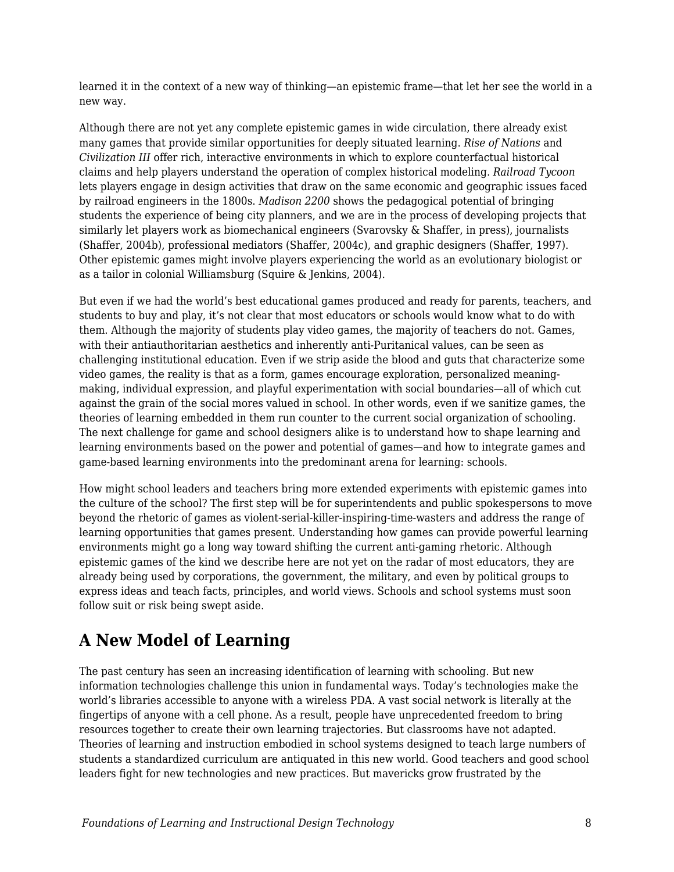learned it in the context of a new way of thinking—an epistemic frame—that let her see the world in a new way.

Although there are not yet any complete epistemic games in wide circulation, there already exist many games that provide similar opportunities for deeply situated learning. *Rise of Nations* and *Civilization III* offer rich, interactive environments in which to explore counterfactual historical claims and help players understand the operation of complex historical modeling. *Railroad Tycoon* lets players engage in design activities that draw on the same economic and geographic issues faced by railroad engineers in the 1800s. *Madison 2200* shows the pedagogical potential of bringing students the experience of being city planners, and we are in the process of developing projects that similarly let players work as biomechanical engineers (Svarovsky & Shaffer, in press), journalists (Shaffer, 2004b), professional mediators (Shaffer, 2004c), and graphic designers (Shaffer, 1997). Other epistemic games might involve players experiencing the world as an evolutionary biologist or as a tailor in colonial Williamsburg (Squire & Jenkins, 2004).

But even if we had the world's best educational games produced and ready for parents, teachers, and students to buy and play, it's not clear that most educators or schools would know what to do with them. Although the majority of students play video games, the majority of teachers do not. Games, with their antiauthoritarian aesthetics and inherently anti-Puritanical values, can be seen as challenging institutional education. Even if we strip aside the blood and guts that characterize some video games, the reality is that as a form, games encourage exploration, personalized meaningmaking, individual expression, and playful experimentation with social boundaries—all of which cut against the grain of the social mores valued in school. In other words, even if we sanitize games, the theories of learning embedded in them run counter to the current social organization of schooling. The next challenge for game and school designers alike is to understand how to shape learning and learning environments based on the power and potential of games—and how to integrate games and game-based learning environments into the predominant arena for learning: schools.

How might school leaders and teachers bring more extended experiments with epistemic games into the culture of the school? The first step will be for superintendents and public spokespersons to move beyond the rhetoric of games as violent-serial-killer-inspiring-time-wasters and address the range of learning opportunities that games present. Understanding how games can provide powerful learning environments might go a long way toward shifting the current anti-gaming rhetoric. Although epistemic games of the kind we describe here are not yet on the radar of most educators, they are already being used by corporations, the government, the military, and even by political groups to express ideas and teach facts, principles, and world views. Schools and school systems must soon follow suit or risk being swept aside.

# **A New Model of Learning**

The past century has seen an increasing identification of learning with schooling. But new information technologies challenge this union in fundamental ways. Today's technologies make the world's libraries accessible to anyone with a wireless PDA. A vast social network is literally at the fingertips of anyone with a cell phone. As a result, people have unprecedented freedom to bring resources together to create their own learning trajectories. But classrooms have not adapted. Theories of learning and instruction embodied in school systems designed to teach large numbers of students a standardized curriculum are antiquated in this new world. Good teachers and good school leaders fight for new technologies and new practices. But mavericks grow frustrated by the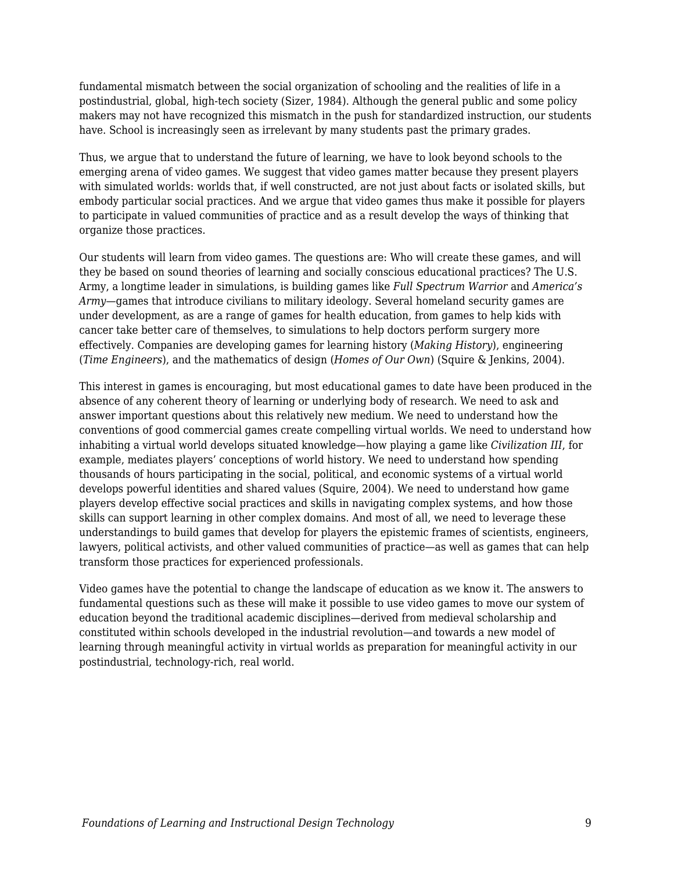fundamental mismatch between the social organization of schooling and the realities of life in a postindustrial, global, high-tech society (Sizer, 1984). Although the general public and some policy makers may not have recognized this mismatch in the push for standardized instruction, our students have. School is increasingly seen as irrelevant by many students past the primary grades.

Thus, we argue that to understand the future of learning, we have to look beyond schools to the emerging arena of video games. We suggest that video games matter because they present players with simulated worlds: worlds that, if well constructed, are not just about facts or isolated skills, but embody particular social practices. And we argue that video games thus make it possible for players to participate in valued communities of practice and as a result develop the ways of thinking that organize those practices.

Our students will learn from video games. The questions are: Who will create these games, and will they be based on sound theories of learning and socially conscious educational practices? The U.S. Army, a longtime leader in simulations, is building games like *Full Spectrum Warrior* and *America's Army*—games that introduce civilians to military ideology. Several homeland security games are under development, as are a range of games for health education, from games to help kids with cancer take better care of themselves, to simulations to help doctors perform surgery more effectively. Companies are developing games for learning history (*Making History*), engineering (*Time Engineers*), and the mathematics of design (*Homes of Our Own*) (Squire & Jenkins, 2004).

This interest in games is encouraging, but most educational games to date have been produced in the absence of any coherent theory of learning or underlying body of research. We need to ask and answer important questions about this relatively new medium. We need to understand how the conventions of good commercial games create compelling virtual worlds. We need to understand how inhabiting a virtual world develops situated knowledge—how playing a game like *Civilization III*, for example, mediates players' conceptions of world history. We need to understand how spending thousands of hours participating in the social, political, and economic systems of a virtual world develops powerful identities and shared values (Squire, 2004). We need to understand how game players develop effective social practices and skills in navigating complex systems, and how those skills can support learning in other complex domains. And most of all, we need to leverage these understandings to build games that develop for players the epistemic frames of scientists, engineers, lawyers, political activists, and other valued communities of practice—as well as games that can help transform those practices for experienced professionals.

Video games have the potential to change the landscape of education as we know it. The answers to fundamental questions such as these will make it possible to use video games to move our system of education beyond the traditional academic disciplines—derived from medieval scholarship and constituted within schools developed in the industrial revolution—and towards a new model of learning through meaningful activity in virtual worlds as preparation for meaningful activity in our postindustrial, technology-rich, real world.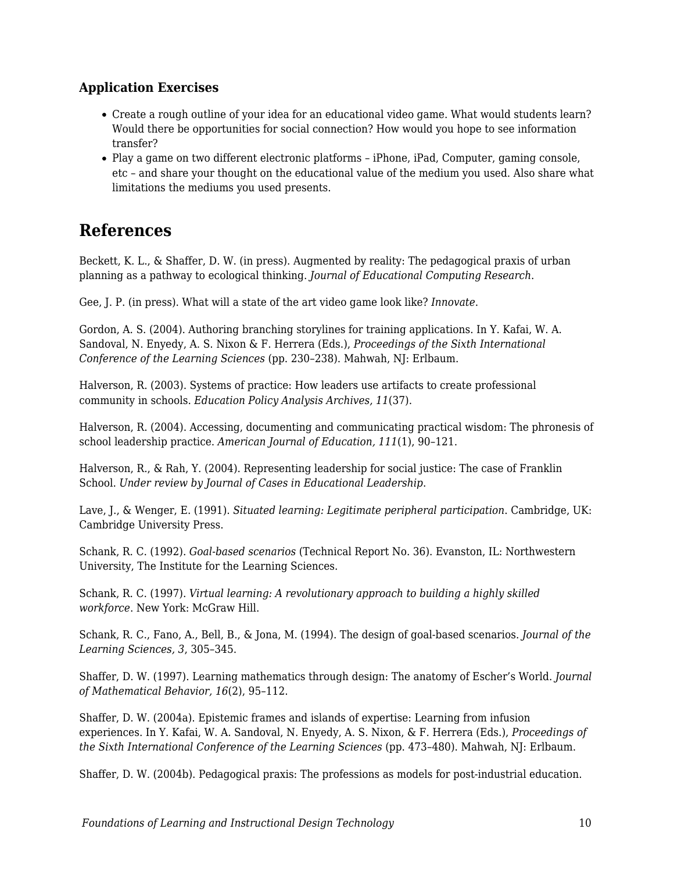#### **Application Exercises**

- Create a rough outline of your idea for an educational video game. What would students learn? Would there be opportunities for social connection? How would you hope to see information transfer?
- Play a game on two different electronic platforms iPhone, iPad, Computer, gaming console, etc – and share your thought on the educational value of the medium you used. Also share what limitations the mediums you used presents.

### **References**

Beckett, K. L., & Shaffer, D. W. (in press). Augmented by reality: The pedagogical praxis of urban planning as a pathway to ecological thinking. *Journal of Educational Computing Research*.

Gee, J. P. (in press). What will a state of the art video game look like? *Innovate*.

Gordon, A. S. (2004). Authoring branching storylines for training applications. In Y. Kafai, W. A. Sandoval, N. Enyedy, A. S. Nixon & F. Herrera (Eds.), *Proceedings of the Sixth International Conference of the Learning Sciences* (pp. 230–238). Mahwah, NJ: Erlbaum.

Halverson, R. (2003). Systems of practice: How leaders use artifacts to create professional community in schools. *Education Policy Analysis Archives, 11*(37).

Halverson, R. (2004). Accessing, documenting and communicating practical wisdom: The phronesis of school leadership practice. *American Journal of Education, 111*(1), 90–121.

Halverson, R., & Rah, Y. (2004). Representing leadership for social justice: The case of Franklin School. *Under review by Journal of Cases in Educational Leadership*.

Lave, J., & Wenger, E. (1991). *Situated learning: Legitimate peripheral participation*. Cambridge, UK: Cambridge University Press.

Schank, R. C. (1992). *Goal-based scenarios* (Technical Report No. 36). Evanston, IL: Northwestern University, The Institute for the Learning Sciences.

Schank, R. C. (1997). *Virtual learning: A revolutionary approach to building a highly skilled workforce*. New York: McGraw Hill.

Schank, R. C., Fano, A., Bell, B., & Jona, M. (1994). The design of goal-based scenarios. *Journal of the Learning Sciences, 3*, 305–345.

Shaffer, D. W. (1997). Learning mathematics through design: The anatomy of Escher's World. *Journal of Mathematical Behavior, 16*(2), 95–112.

Shaffer, D. W. (2004a). Epistemic frames and islands of expertise: Learning from infusion experiences. In Y. Kafai, W. A. Sandoval, N. Enyedy, A. S. Nixon, & F. Herrera (Eds.), *Proceedings of the Sixth International Conference of the Learning Sciences* (pp. 473–480). Mahwah, NJ: Erlbaum.

Shaffer, D. W. (2004b). Pedagogical praxis: The professions as models for post-industrial education.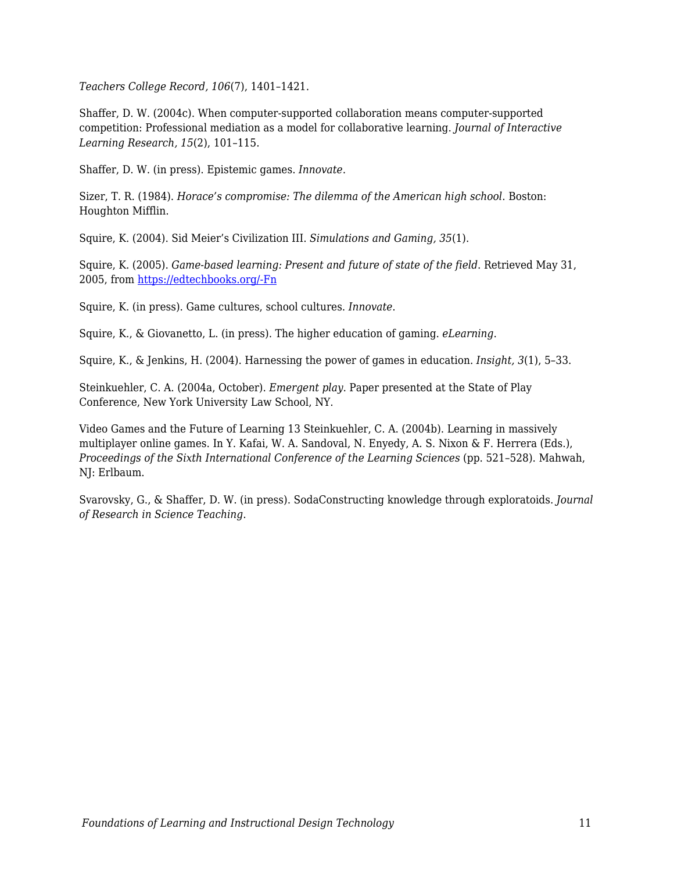*Teachers College Record, 106*(7), 1401–1421.

Shaffer, D. W. (2004c). When computer-supported collaboration means computer-supported competition: Professional mediation as a model for collaborative learning. *Journal of Interactive Learning Research, 15*(2), 101–115.

Shaffer, D. W. (in press). Epistemic games. *Innovate*.

Sizer, T. R. (1984). *Horace's compromise: The dilemma of the American high school*. Boston: Houghton Mifflin.

Squire, K. (2004). Sid Meier's Civilization III. *Simulations and Gaming, 35*(1).

Squire, K. (2005). *Game-based learning: Present and future of state of the field*. Retrieved May 31, 2005, from [https://edtechbooks.org/-Fn](http://www.masie.com/xlearn/Game-Based_Learning.pdf)

Squire, K. (in press). Game cultures, school cultures. *Innovate*.

Squire, K., & Giovanetto, L. (in press). The higher education of gaming. *eLearning*.

Squire, K., & Jenkins, H. (2004). Harnessing the power of games in education. *Insight, 3*(1), 5–33.

Steinkuehler, C. A. (2004a, October). *Emergent play*. Paper presented at the State of Play Conference, New York University Law School, NY.

Video Games and the Future of Learning 13 Steinkuehler, C. A. (2004b). Learning in massively multiplayer online games. In Y. Kafai, W. A. Sandoval, N. Enyedy, A. S. Nixon & F. Herrera (Eds.), *Proceedings of the Sixth International Conference of the Learning Sciences* (pp. 521–528). Mahwah, NJ: Erlbaum.

Svarovsky, G., & Shaffer, D. W. (in press). SodaConstructing knowledge through exploratoids. *Journal of Research in Science Teaching*.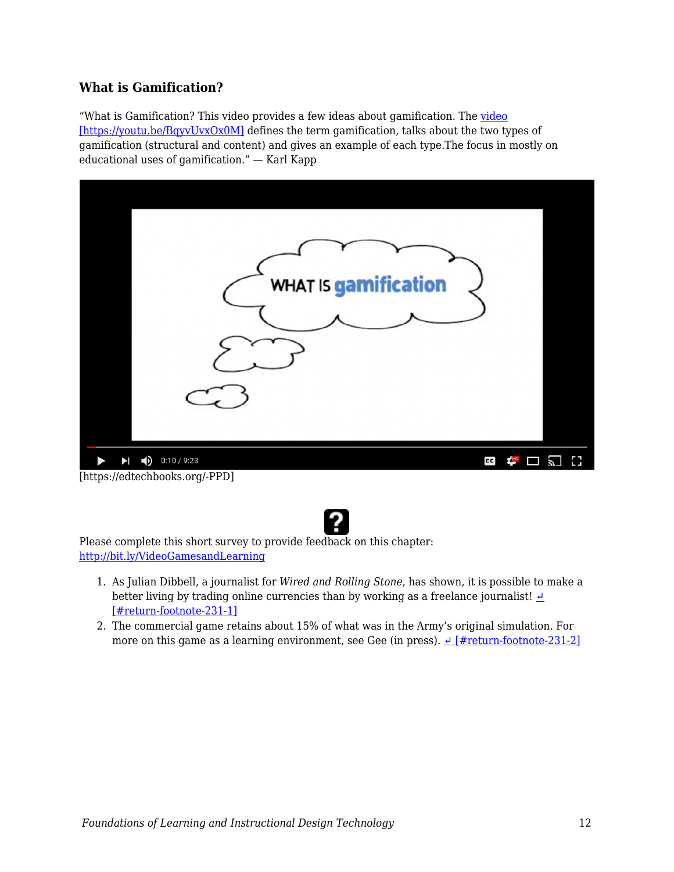#### **What is Gamification?**

"What is Gamification? This video provides a few ideas about gamification. The [video](https://youtu.be/BqyvUvxOx0M) [\[https://youtu.be/BqyvUvxOx0M\]](https://youtu.be/BqyvUvxOx0M) defines the term gamification, talks about the two types of gamification (structural and content) and gives an example of each type.The focus in mostly on educational uses of gamification." — Karl Kapp







Please complete this short survey to provide feedback on this chapter: <http://bit.ly/VideoGamesandLearning>

- 1. As Julian Dibbell, a journalist for *Wired and Rolling Stone*, has shown, it is possible to make a better living by trading online currencies than by working as a freelance journalist!  $\cdot\cdot\cdot$ [\[#return-footnote-231-1\]](#page--1-0)
- 2. The commercial game retains about 15% of what was in the Army's original simulation. For more on this game as a learning environment, see Gee (in press).  $\frac{1}{4}$  [#return-footnote-231-2]